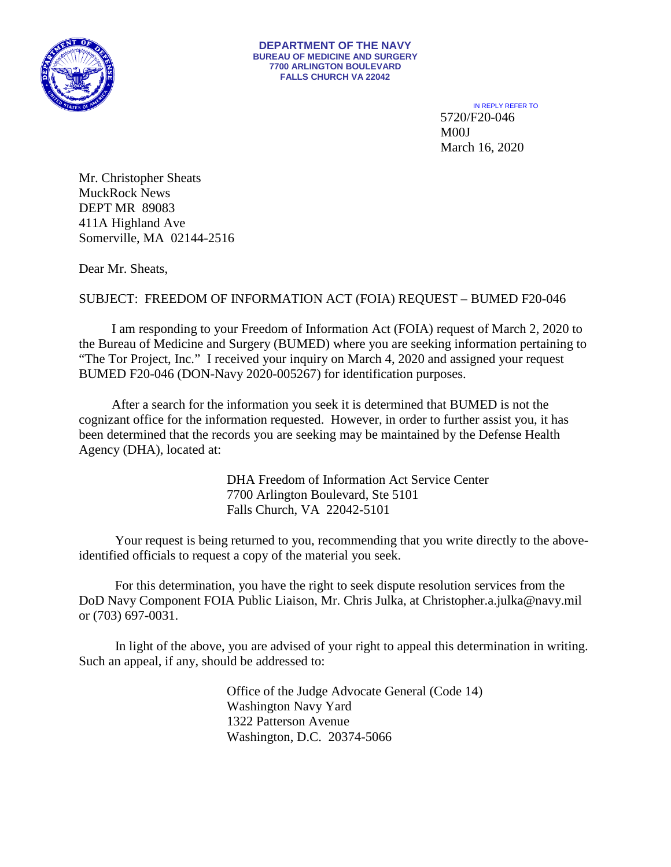

IN REPLY REFER TO 5720/F20-046 M00J March 16, 2020

Mr. Christopher Sheats MuckRock News DEPT MR 89083 411A Highland Ave Somerville, MA 02144-2516

Dear Mr. Sheats,

## SUBJECT: FREEDOM OF INFORMATION ACT (FOIA) REQUEST – BUMED F20-046

I am responding to your Freedom of Information Act (FOIA) request of March 2, 2020 to the Bureau of Medicine and Surgery (BUMED) where you are seeking information pertaining to "The Tor Project, Inc." I received your inquiry on March 4, 2020 and assigned your request BUMED F20-046 (DON-Navy 2020-005267) for identification purposes.

 After a search for the information you seek it is determined that BUMED is not the cognizant office for the information requested. However, in order to further assist you, it has been determined that the records you are seeking may be maintained by the Defense Health Agency (DHA), located at:

> DHA Freedom of Information Act Service Center 7700 Arlington Boulevard, Ste 5101 Falls Church, VA 22042-5101

 Your request is being returned to you, recommending that you write directly to the aboveidentified officials to request a copy of the material you seek.

 For this determination, you have the right to seek dispute resolution services from the DoD Navy Component FOIA Public Liaison, Mr. Chris Julka, at Christopher.a.julka@navy.mil or (703) 697-0031.

 In light of the above, you are advised of your right to appeal this determination in writing. Such an appeal, if any, should be addressed to:

> Office of the Judge Advocate General (Code 14) Washington Navy Yard 1322 Patterson Avenue Washington, D.C. 20374-5066